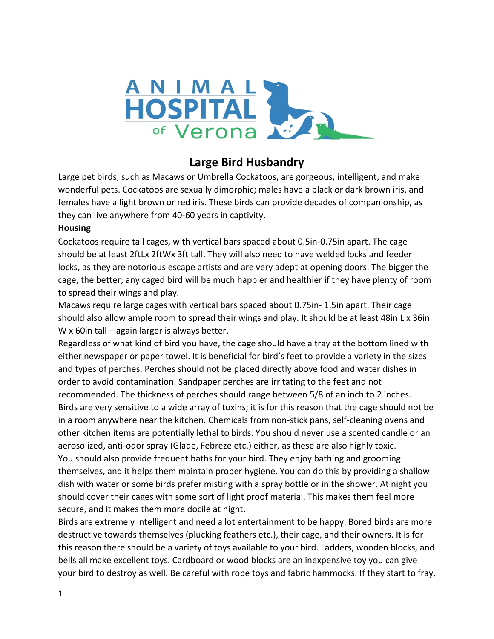

# **Large Bird Husbandry**

Large pet birds, such as Macaws or Umbrella Cockatoos, are gorgeous, intelligent, and make wonderful pets. Cockatoos are sexually dimorphic; males have a black or dark brown iris, and females have a light brown or red iris. These birds can provide decades of companionship, as they can live anywhere from 40-60 years in captivity.

#### **Housing**

Cockatoos require tall cages, with vertical bars spaced about 0.5in-0.75in apart. The cage should be at least 2ftLx 2ftWx 3ft tall. They will also need to have welded locks and feeder locks, as they are notorious escape artists and are very adept at opening doors. The bigger the cage, the better; any caged bird will be much happier and healthier if they have plenty of room to spread their wings and play.

Macaws require large cages with vertical bars spaced about 0.75in- 1.5in apart. Their cage should also allow ample room to spread their wings and play. It should be at least 48in L x 36in W x 60in tall – again larger is always better.

Regardless of what kind of bird you have, the cage should have a tray at the bottom lined with either newspaper or paper towel. It is beneficial for bird's feet to provide a variety in the sizes and types of perches. Perches should not be placed directly above food and water dishes in order to avoid contamination. Sandpaper perches are irritating to the feet and not recommended. The thickness of perches should range between 5/8 of an inch to 2 inches. Birds are very sensitive to a wide array of toxins; it is for this reason that the cage should not be in a room anywhere near the kitchen. Chemicals from non-stick pans, self-cleaning ovens and other kitchen items are potentially lethal to birds. You should never use a scented candle or an aerosolized, anti-odor spray (Glade, Febreze etc.) either, as these are also highly toxic. You should also provide frequent baths for your bird. They enjoy bathing and grooming themselves, and it helps them maintain proper hygiene. You can do this by providing a shallow dish with water or some birds prefer misting with a spray bottle or in the shower. At night you should cover their cages with some sort of light proof material. This makes them feel more secure, and it makes them more docile at night.

Birds are extremely intelligent and need a lot entertainment to be happy. Bored birds are more destructive towards themselves (plucking feathers etc.), their cage, and their owners. It is for this reason there should be a variety of toys available to your bird. Ladders, wooden blocks, and bells all make excellent toys. Cardboard or wood blocks are an inexpensive toy you can give your bird to destroy as well. Be careful with rope toys and fabric hammocks. If they start to fray,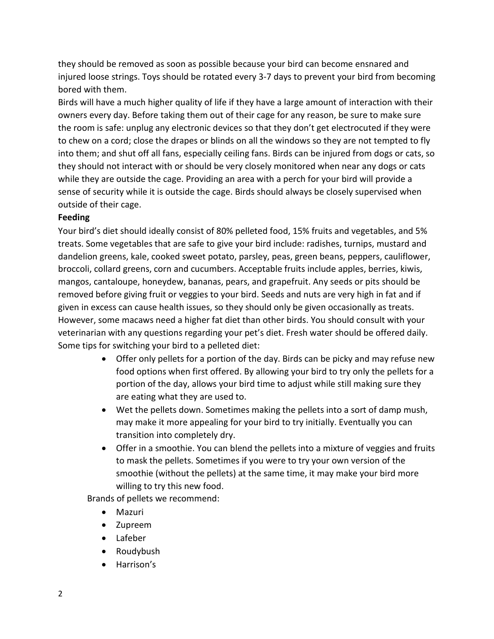they should be removed as soon as possible because your bird can become ensnared and injured loose strings. Toys should be rotated every 3-7 days to prevent your bird from becoming bored with them.

Birds will have a much higher quality of life if they have a large amount of interaction with their owners every day. Before taking them out of their cage for any reason, be sure to make sure the room is safe: unplug any electronic devices so that they don't get electrocuted if they were to chew on a cord; close the drapes or blinds on all the windows so they are not tempted to fly into them; and shut off all fans, especially ceiling fans. Birds can be injured from dogs or cats, so they should not interact with or should be very closely monitored when near any dogs or cats while they are outside the cage. Providing an area with a perch for your bird will provide a sense of security while it is outside the cage. Birds should always be closely supervised when outside of their cage.

### **Feeding**

Your bird's diet should ideally consist of 80% pelleted food, 15% fruits and vegetables, and 5% treats. Some vegetables that are safe to give your bird include: radishes, turnips, mustard and dandelion greens, kale, cooked sweet potato, parsley, peas, green beans, peppers, cauliflower, broccoli, collard greens, corn and cucumbers. Acceptable fruits include apples, berries, kiwis, mangos, cantaloupe, honeydew, bananas, pears, and grapefruit. Any seeds or pits should be removed before giving fruit or veggies to your bird. Seeds and nuts are very high in fat and if given in excess can cause health issues, so they should only be given occasionally as treats. However, some macaws need a higher fat diet than other birds. You should consult with your veterinarian with any questions regarding your pet's diet. Fresh water should be offered daily. Some tips for switching your bird to a pelleted diet:

- Offer only pellets for a portion of the day. Birds can be picky and may refuse new food options when first offered. By allowing your bird to try only the pellets for a portion of the day, allows your bird time to adjust while still making sure they are eating what they are used to.
- Wet the pellets down. Sometimes making the pellets into a sort of damp mush, may make it more appealing for your bird to try initially. Eventually you can transition into completely dry.
- Offer in a smoothie. You can blend the pellets into a mixture of veggies and fruits to mask the pellets. Sometimes if you were to try your own version of the smoothie (without the pellets) at the same time, it may make your bird more willing to try this new food.

Brands of pellets we recommend:

- Mazuri
- Zupreem
- Lafeber
- Roudybush
- Harrison's